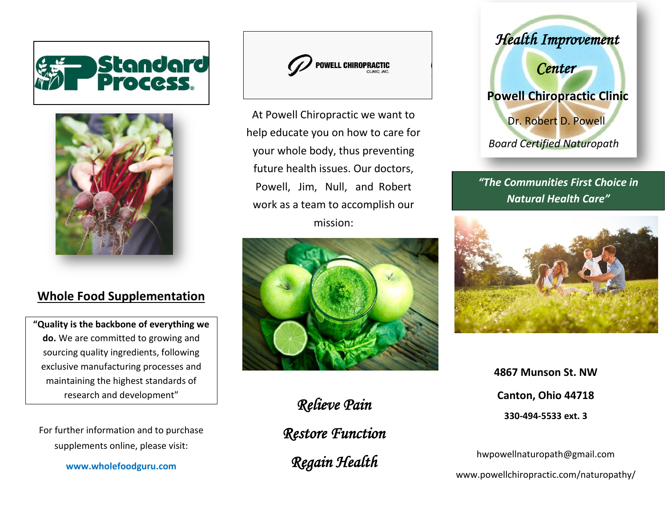



## **Whole Food Supplementation**

**"Quality is the backbone of everything we do.** We are committed to growing and sourcing quality ingredients, following exclusive manufacturing processes and maintaining the highest standards of research and development"

For further information and to purchase supplements online, please visit:

**www.wholefoodguru.com**



At Powell Chiropractic we want to help educate you on how to care for your whole body, thus preventing future health issues. Our doctors, Powell, Jim, Null, and Robert work as a team to accomplish our mission:



*Relieve Pain* 

*Restore Function* 

*Regain Health* 



*"The Communities First Choice in Natural Health Care"*



**4867 Munson St. NW Canton, Ohio 44718 330-494-5533 ext. 3**

hwpowellnaturopath@gmail.com [www.powellchiropractic.com/](http://www.powellchiropractic.com/)naturopathy/